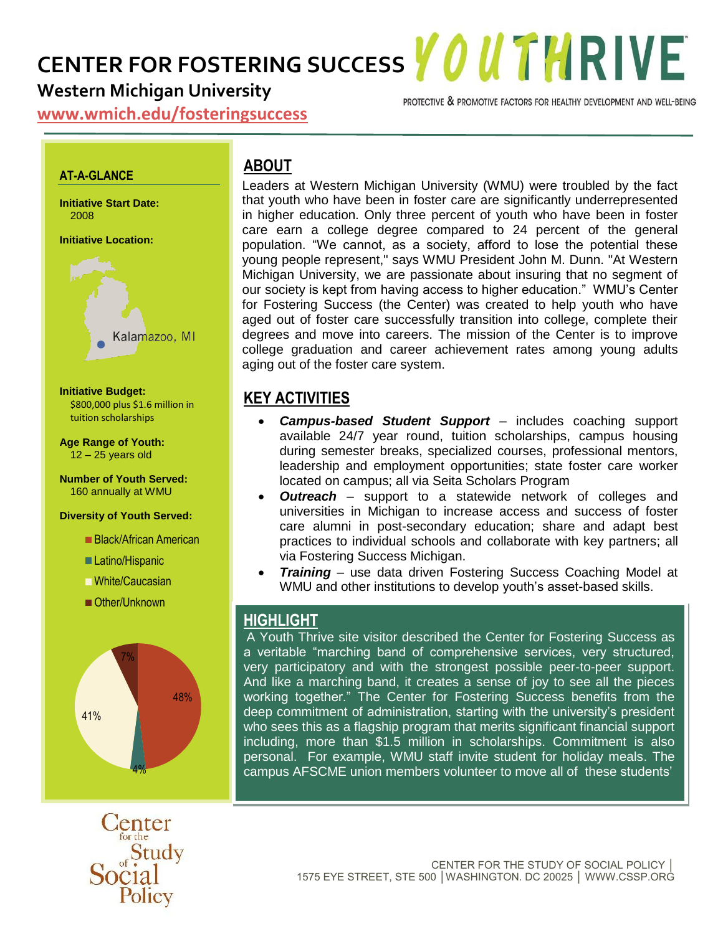**CENTER FOR FOSTERING SUCCESS YOUTHRIVE** 

## **Western Michigan University**

PROTECTIVE & PROMOTIVE FACTORS FOR HEALTHY DEVELOPMENT AND WELL-BEING

**www.wmich.edu/fosteringsuccess**

#### **AT-A-GLANCE**

**Initiative Start Date:** 2008

**Initiative Location:**



**Initiative Budget:** \$800,000 plus \$1.6 million in tuition scholarships

**Age Range of Youth:**  $12 - 25$  years old

**Number of Youth Served:** 160 annually at WMU

#### **Diversity of Youth Served:**

Black/African American

- Latino/Hispanic
- White/Caucasian
- Other/Unknown





## **ABOUT**

Leaders at Western Michigan University (WMU) were troubled by the fact that youth who have been in foster care are significantly underrepresented in higher education. Only three percent of youth who have been in foster care earn a college degree compared to 24 percent of the general population. "We cannot, as a society, afford to lose the potential these young people represent," says WMU President John M. Dunn. "At Western Michigan University, we are passionate about insuring that no segment of our society is kept from having access to higher education." WMU's Center for Fostering Success (the Center) was created to help youth who have aged out of foster care successfully transition into college, complete their degrees and move into careers. The mission of the Center is to improve college graduation and career achievement rates among young adults aging out of the foster care system.

#### **KEY ACTIVITIES**

- *Campus-based Student Support* includes coaching support available 24/7 year round, tuition scholarships, campus housing during semester breaks, specialized courses, professional mentors, leadership and employment opportunities; state foster care worker located on campus; all via Seita Scholars Program
- *Outreach* support to a statewide network of colleges and universities in Michigan to increase access and success of foster care alumni in post-secondary education; share and adapt best practices to individual schools and collaborate with key partners; all via Fostering Success Michigan.
- *Training* use data driven Fostering Success Coaching Model at WMU and other institutions to develop youth's asset-based skills.

#### **HIGHLIGHT**

A Youth Thrive site visitor described the Center for Fostering Success as a veritable "marching band of comprehensive services, very structured, very participatory and with the strongest possible peer-to-peer support. And like a marching band, it creates a sense of joy to see all the pieces working together." The Center for Fostering Success benefits from the deep commitment of administration, starting with the university's president who sees this as a flagship program that merits significant financial support including, more than \$1.5 million in scholarships. Commitment is also personal. For example, WMU staff invite student for holiday meals. The campus AFSCME union members volunteer to move all of these students'